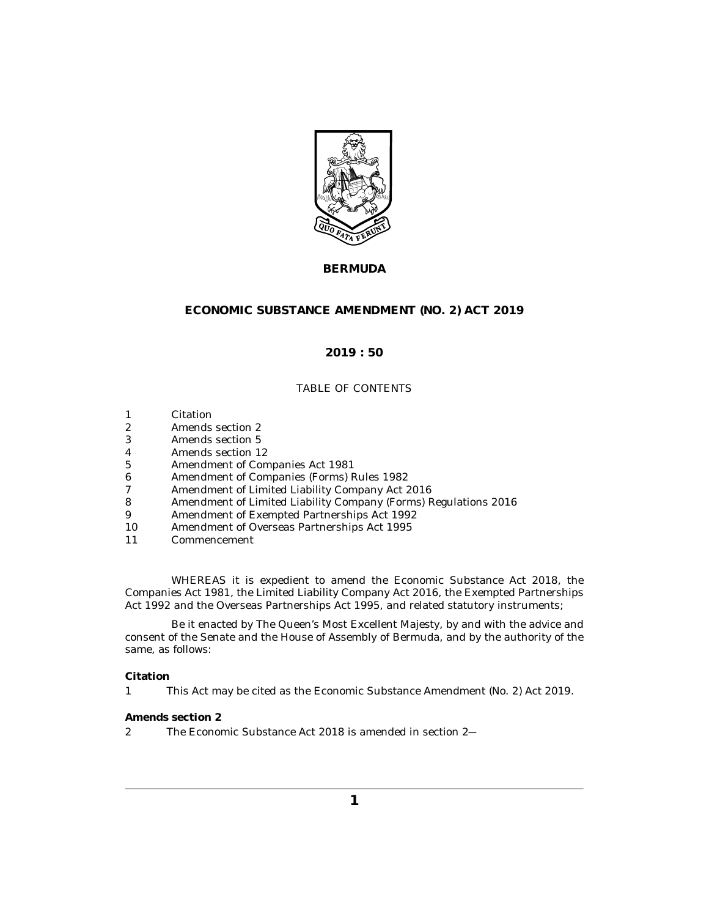

# **BERMUDA**

# **ECONOMIC SUBSTANCE AMENDMENT (NO. 2) ACT 2019**

## **2019 : 50**

### TABLE OF CONTENTS

- Citation 1
- Amends section 2 2
- [Amends section 5](#page-1-0) 3
- [Amends section 12](#page-1-0) 4
- [Amendment of Companies Act 1981](#page-1-0) 5
- [Amendment of Companies \(Forms\) Rules 1982](#page-2-0) 6
- [Amendment of Limited Liability Company Act 2016](#page-3-0) 7
- [Amendment of Limited Liability Company \(Forms\) Regulations 2016](#page-3-0) 8
- [Amendment of Exempted Partnerships Act 1992](#page-4-0) 9
- [Amendment of Overseas Partnerships Act 1995](#page-4-0) 10
- [Commencement](#page-4-0) 11

WHEREAS it is expedient to amend the Economic Substance Act 2018, the Companies Act 1981, the Limited Liability Company Act 2016, the Exempted Partnerships Act 1992 and the Overseas Partnerships Act 1995, and related statutory instruments;

Be it enacted by The Queen's Most Excellent Majesty, by and with the advice and consent of the Senate and the House of Assembly of Bermuda, and by the authority of the same, as follows:

### **Citation**

This Act may be cited as the Economic Substance Amendment (No. 2) Act 2019. 1

#### **Amends section 2**

The Economic Substance Act 2018 is amended in section 2― 2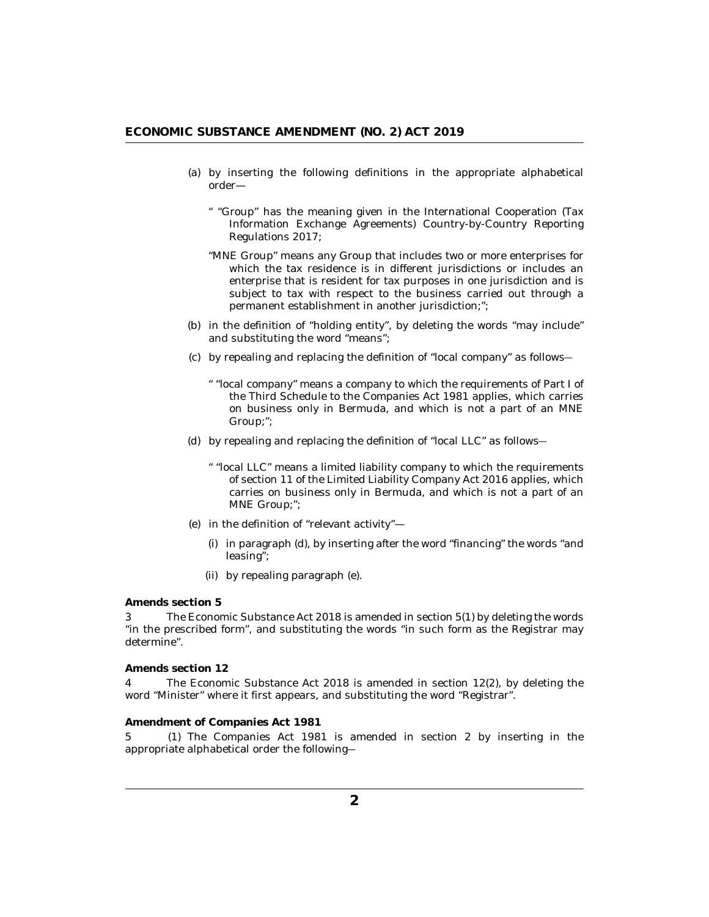- <span id="page-1-0"></span>(a) by inserting the following definitions in the appropriate alphabetical order—
	- " "Group" has the meaning given in the International Cooperation (Tax Information Exchange Agreements) Country-by-Country Reporting Regulations 2017;
	- "MNE Group" means any Group that includes two or more enterprises for which the tax residence is in different jurisdictions or includes an enterprise that is resident for tax purposes in one jurisdiction and is subject to tax with respect to the business carried out through a permanent establishment in another jurisdiction;";
- (b) in the definition of "holding entity", by deleting the words "may include" and substituting the word "means";
- by repealing and replacing the definition of "local company" as follows― (c)
	- " "local company" means a company to which the requirements of Part I of the Third Schedule to the Companies Act 1981 applies, which carries on business only in Bermuda, and which is not a part of an MNE Group;";
- by repealing and replacing the definition of "local LLC" as follows― (d)
	- " "local LLC" means a limited liability company to which the requirements of section 11 of the Limited Liability Company Act 2016 applies, which carries on business only in Bermuda, and which is not a part of an MNE Group;";
- (e) in the definition of "relevant activity"—
	- (i) in paragraph (d), by inserting after the word "financing" the words "and leasing";
	- by repealing paragraph (e). (ii)

**Amends section 5**

The Economic Substance Act 2018 is amended in section 5(1) by deleting the words "in the prescribed form", and substituting the words "in such form as the Registrar may determine". 3

**Amends section 12**

The Economic Substance Act 2018 is amended in section 12(2), by deleting the word "Minister" where it first appears, and substituting the word "Registrar". 4

#### **Amendment of Companies Act 1981**

5 (1) The Companies Act 1981 is amended in section 2 by inserting in the appropriate alphabetical order the following―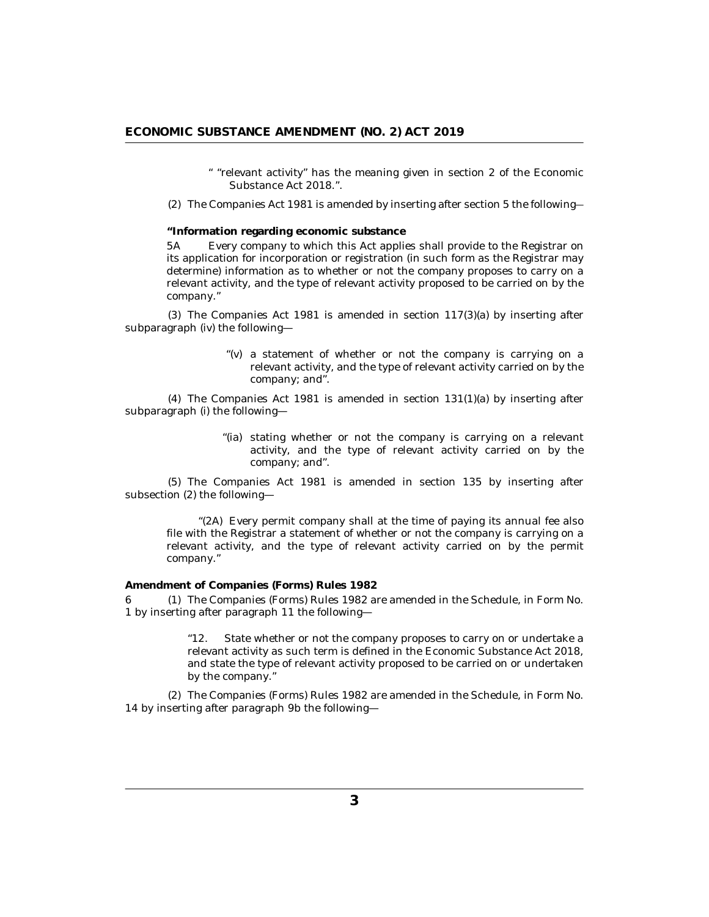" "relevant activity" has the meaning given in section 2 of the Economic Substance Act 2018.".

<span id="page-2-0"></span>The Companies Act 1981 is amended by inserting after section 5 the following― (2)

**"Information regarding economic substance**

Every company to which this Act applies shall provide to the Registrar on its application for incorporation or registration (in such form as the Registrar may determine) information as to whether or not the company proposes to carry on a relevant activity, and the type of relevant activity proposed to be carried on by the company." 5A

(3) The Companies Act 1981 is amended in section  $117(3)(a)$  by inserting after subparagraph (iv) the following—

> "(v) a statement of whether or not the company is carrying on a relevant activity, and the type of relevant activity carried on by the company; and".

 $(4)$  The Companies Act 1981 is amended in section 131 $(1)(a)$  by inserting after subparagraph (i) the following—

> "(ia) stating whether or not the company is carrying on a relevant activity, and the type of relevant activity carried on by the company; and".

(5) The Companies Act 1981 is amended in section 135 by inserting after subsection (2) the following—

Every permit company shall at the time of paying its annual fee also "(2A) file with the Registrar a statement of whether or not the company is carrying on a relevant activity, and the type of relevant activity carried on by the permit company."

**Amendment of Companies (Forms) Rules 1982**

6 (1) The Companies (Forms) Rules 1982 are amended in the Schedule, in Form No. 1 by inserting after paragraph 11 the following—

> "12. State whether or not the company proposes to carry on or undertake a relevant activity as such term is defined in the Economic Substance Act 2018, and state the type of relevant activity proposed to be carried on or undertaken by the company."

The Companies (Forms) Rules 1982 are amended in the Schedule, in Form No. (2) 14 by inserting after paragraph 9b the following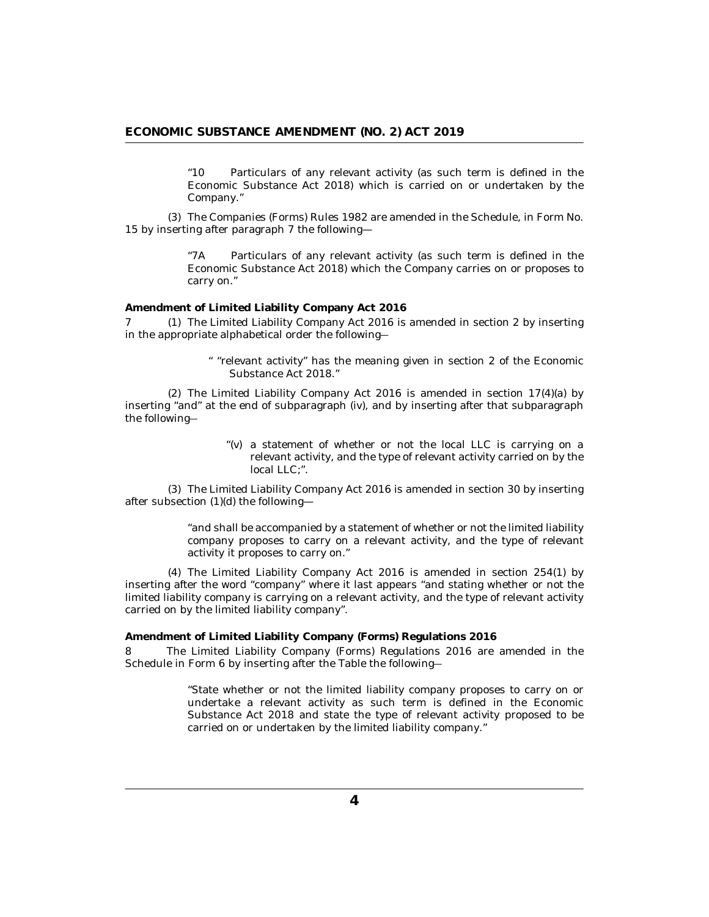"10 Particulars of any relevant activity (as such term is defined in the Economic Substance Act 2018) which is carried on or undertaken by the Company."

<span id="page-3-0"></span>The Companies (Forms) Rules 1982 are amended in the Schedule, in Form No. (3) 15 by inserting after paragraph 7 the following—

> "7A Particulars of any relevant activity (as such term is defined in the Economic Substance Act 2018) which the Company carries on or proposes to carry on."

**Amendment of Limited Liability Company Act 2016**

7 (1) The Limited Liability Company Act 2016 is amended in section 2 by inserting in the appropriate alphabetical order the following―

> " "relevant activity" has the meaning given in section 2 of the Economic Substance Act 2018."

 $(2)$  The Limited Liability Company Act 2016 is amended in section  $17(4)(a)$  by inserting "and" at the end of subparagraph (iv), and by inserting after that subparagraph the following―

> "(v) a statement of whether or not the local LLC is carrying on a relevant activity, and the type of relevant activity carried on by the local LLC:".

The Limited Liability Company Act 2016 is amended in section 30 by inserting (3) after subsection (1)(d) the following—

> "and shall be accompanied by a statement of whether or not the limited liability company proposes to carry on a relevant activity, and the type of relevant activity it proposes to carry on."

The Limited Liability Company Act 2016 is amended in section 254(1) by (4) inserting after the word "company" where it last appears "and stating whether or not the limited liability company is carrying on a relevant activity, and the type of relevant activity carried on by the limited liability company".

**Amendment of Limited Liability Company (Forms) Regulations 2016**

The Limited Liability Company (Forms) Regulations 2016 are amended in the Schedule in Form 6 by inserting after the Table the following― 8

> "State whether or not the limited liability company proposes to carry on or undertake a relevant activity as such term is defined in the Economic Substance Act 2018 and state the type of relevant activity proposed to be carried on or undertaken by the limited liability company."